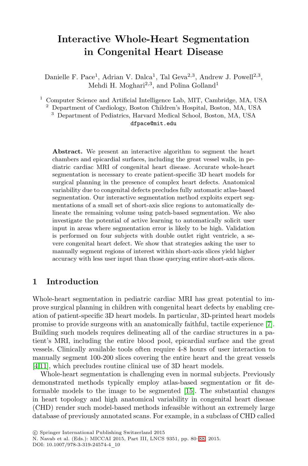# **Interactive Whole-Heart Segmentation in Congenital Heart Disease**

Danielle F. Pace<sup>1</sup>, Adrian V. Dalca<sup>1</sup>, Tal Geva<sup>2,3</sup>, Andrew J. Powell<sup>2,3</sup>, Mehdi H. Moghari<sup>2,3</sup>, and Polina Golland<sup>1</sup>

<sup>1</sup> Computer Science and Artificial Intelligence Lab, MIT, Cambridge, MA, USA

<sup>2</sup> Department of Cardiology, Boston Children's Hospital, Boston, MA, USA

<sup>3</sup> Department of Pediatrics, Harvard Medical School, Boston, MA, USA

dfpace@mit.edu

**Abstract.** We present an interactive algorithm to segment the heart chambers and epicardial surfaces, including the great vessel walls, in pediatric cardiac MRI of congenital heart disease. Accurate whole-heart segmentation is necessary to create patient-specific 3D heart models for surgical planning in the presence of complex heart defects. Anatomical variability due to congenital defects precludes fully automatic atlas-based segmentation. Our interactive segmentation method exploits expert segmentations of a small set of short-axis slice regions to automatically delineate the remaining volume using patch-based segmentation. We also investigate the potential of active learning to automatically solicit user input in areas where segmentation error is likely to be high. Validation is performed on four subjects with double outlet right ventricle, a severe congenital heart defect. We show that strategies asking the user to manually segment regions of interest within short-axis slices yield higher accuracy with less user input than those querying entire s[ho](#page-7-0)rt-axis slices.

### **1 Introduction**

Whole-heart segmentation in pediatric cardiac MRI has great potential to improve surgical planning in children with congenital heart defects by enabling creation of patient-specific 3D heart models. In particular, 3D-printed heart models promise to provide surgeons wit[h an](#page-8-0) anatomically faithful, tactile experience [7]. Building such models requires delineating all of the cardiac structures in a patient's MRI, including the entire blood pool, epicardial surface and the great vessels. Clinically available tools often require 4-8 hours of user interaction to manually segment 100-200 slices covering the entire heart and the great vessels [4,11], which precludes routine clinical use of 3D heart models.

Whole-heart segmentation is chal[len](#page-7-1)ging even in normal subjects. Previously demonstrated methods typically employ atlas-based segmentation or fit deformable models to the image to be segmented [15]. The substantial changes in heart topology and high anatomical variability in congenital heart disease (CHD) render such model-based methods infeasible without an extremely large database of previously annotated scans. For example, in a subclass of CHD called

DOI: 10.1007/978-3-319-24574-4\_10

<sup>-</sup>c Springer International Publishing Switzerland 2015

N. Navab et al. (Eds.): MICCAI 2015, Part III, LNCS 9351, pp. 80–88, 2015.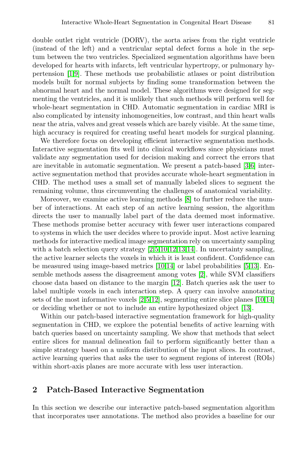double outlet right ventricle (DORV), the aorta arises from the right ventricle (instead of the left) and a ventricular septal defect forms a hole in the septum between the two ventricles. Specialized segmentation algorithms have been developed for hearts with infarcts, left ventricular hypertropy, or pulmonary hypertension [1,9]. These methods use probabilistic atlases or point distribution models built for normal subjects by finding some transformation between the abnormal heart and the normal model. These algorithms were designed for segmenting the ventricles, and it is unlikely that such [me](#page-7-2)[th](#page-7-3)ods will perform well for whole-heart segmentation in CHD. Automatic segmentation in cardiac MRI is also complicated by intensity inhomogeneities, low contrast, and thin heart walls near the atria, valves and great vessels which are barely visible. At the same time, high accuracy is required for cre[at](#page-7-4)ing useful heart models for surgical planning.

We therefore focus on developing efficient interactive segmentation methods. Interactive segmentation fits well into clinical workflows since physicians must validate any segmentation used for decision making and correct the errors that are inevitable in automatic segmentation. We present a patch-based [3,6] interactive segmentation method that provides accurate whole-heart segmentation in CHD. The method [u](#page-7-5)[se](#page-7-6)[s a](#page-7-7) [sm](#page-8-1)[all](#page-8-2) [se](#page-8-3)t of manually labeled slices to segment the remaining volume, thus circumventing the challenges of anatomical variability.

Moreover, we exami[ne](#page-7-7) [act](#page-8-3)ive learning methods [8[\]](#page-7-6) [to f](#page-8-2)urther reduce the number of interactions. At each step of [a](#page-7-5)n active learning session, the algorithm directs the user to manuall[y l](#page-8-1)abel part of the data deemed most informative. These methods promise better accuracy with fewer user interactions compared to systems in whi[ch](#page-7-5) [t](#page-7-6)[he u](#page-8-1)ser decides where to provide in[put](#page-7-7)[. M](#page-8-3)ost active learning methods for interactive medical image segmentatio[n rel](#page-8-2)y on uncertainty sampling with a batch selection query strategy  $[2,5,10,12,13,14]$ . In uncertainty sampling, the active learner selects the voxels in which it is least confident. Confidence can be measured using image-based metrics [10,14] or label probabilities [5,13]. Ensemble methods assess the disagreement among votes [2], while SVM classifiers choose data based on distance to the margin [12]. Batch queries ask the user to label multiple voxels in each interaction step. A query can involve annotating sets of the most informative voxels [2,5,12], segmenting entire slice planes [10,14] or deciding whether or not to include an entire hypothesized object [13].

Within our patch-based interactive segmentation framework for high-quality segmentation in CHD, we explore the potential benefits of active learning with batch queries based on uncertainty sampling. We show that methods that select entire slices for manual delineation fail to perform significantly better than a simple strategy based on a uniform distribution of the input slices. In contrast, active learning queries that asks the user to segment regions of interest (ROIs) within short-axis planes are more accurate with less user interaction.

### **2 Patch-Based Interactive Segmentation**

In this section we describe our interactive patch-based segmentation algorithm that incorporates user annotations. The method also provides a baseline for our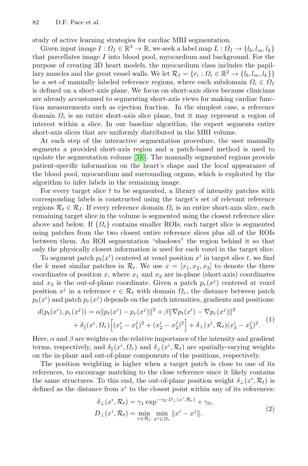82 D.F. Pace et al.

study of active learning strategies for cardiac MRI segmentation.

Given input image  $I: \Omega_I \in \mathbb{R}^3 \to \mathbb{R}$ , we seek a label map  $L: \Omega_I \to \{l_b, l_m, l_k\}$ that parcellates image I into blood pool, myocardium and background. For the purpose of creating 3D heart models, the myocardium class includes the papillary muscles and the great vessel walls. We let  $\mathcal{R}_I = \{r_i : \Omega_i \in \mathbb{R}^2 \to \{l_b, l_m, l_k\}\}\$ be a set of manually labeled reference regions, where each subdomain  $\Omega_i \in \Omega_I$ is defined on a [sh](#page-7-2)[or](#page-7-3)t-axis plane. We focus on short-axis slices because clinicians are already accustomed to segmenting short-axis views for making cardiac function measurements such as ejection fraction. In the simplest case, a reference domain  $\Omega_i$  is an entire short-axis slice plane, but it may represent a region of interest within a slice. In our baseline algorithm, the expert segments entire short-axis slices that are uniformly distributed in the MRI volume.

At each step of the interactive segmentation procedure, the user manually segments a provided short-axis region and a patch-based method is used to update the segmentation volume [3,6]. The manually segmented regions provide patient-specific information on the heart's shape and the local appearance of the blood pool, myocardium and surrounding organs, which is exploited by the algorithm to infer labels in the remaining image.

<span id="page-2-0"></span>For every target slice  $t$  to be segmented, a library of intensity patches with corresponding labels is constructed using the target's set of relevant reference regions  $\mathcal{R}_t \in \mathcal{R}_I$ . If every reference domain  $\Omega_i$  is an entire short-axis slice, each remaining target slice in the volume is segmented using the closest reference slice above and below. If  $\{\Omega_i\}$  contains smaller ROIs, each target slice is segmented using patches from the two closest entire reference slices plus all of the ROIs between them. An ROI segmentation "shadows" the region behind it so that only the physically closest information is used for each voxel in the target slice.

To segment patch  $p_t(x^i)$  centered at voxel position  $x^i$  in target slice t, we find the k most similar patches in  $\mathcal{R}_t$ . We use  $x = [x_1, x_2, x_3]$  to denote the three coordinates of position x, where  $x_1$  and  $x_2$  are in-plane (short-axis) coordinates and  $x_3$  is the out-of-plane coordinate. Given a patch  $p_r(x^j)$  centered at voxel position  $x^j$  in a reference  $r \in \mathcal{R}_t$  with domain  $\Omega_r$ , the distance between patch  $p_t(x^i)$  and patch  $p_r(x^j)$  depends on the patch intensities, gradients and positions:

$$
d(p_t(x^i), p_r(x^j)) = \alpha ||p_t(x^i) - p_r(x^j)||^2 + \beta ||\nabla p_t(x^i) - \nabla p_r(x^j)||^2
$$
  
+ 
$$
\delta ||(x^i, \Omega_r) \Big[ (x_1^i - x_1^j)^2 + (x_2^i - x_2^j)^2 \Big] + \delta_\perp (x^i, \mathcal{R}_t) (x_3^i - x_3^j)^2. \tag{1}
$$

Here,  $\alpha$  and  $\beta$  are weights on the relative importance of the intensity and gradient terms, respectively, and  $\delta_{\parallel}(x^i,\Omega_r)$  and  $\delta_{\perp}(x^i,\mathcal{R}_t)$  are spatially-varying weights on the in-plane and out-of-plane components of the positions, respectively.

The position weighting is higher when a target patch is close to one of its references, to encourage matching to the close reference since it likely contains the same structures. To this end, the out-of-plane position weight  $\delta_{\perp}(x^i, \mathcal{R}_t)$  is defined as the distance from  $x^i$  to the closest point within any of its references:

$$
\delta_{\perp}(x^i, \mathcal{R}_t) = \gamma_1 \exp^{-\gamma_2 \cdot D_{\perp}(x^i, \mathcal{R}_t)} + \gamma_3,
$$
  
\n
$$
D_{\perp}(x^i, \mathcal{R}_t) = \min_{r \in \mathcal{R}_t} \min_{x^j \in \Omega_r} ||x^i - x^j||.
$$
\n(2)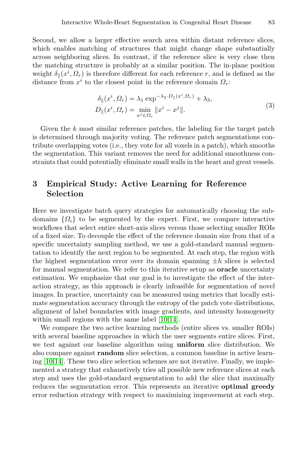Second, we allow a larger effective search area within distant reference slices, which enables matching of structures that might change shape substantially across neighboring slices. In contrast, if the reference slice is very close then the matching structure is probably at a similar position. The in-plane position weight  $\delta_{\parallel}(x^i,\Omega_r)$  is therefore different for each reference r, and is defined as the distance from  $x^i$  to the closest point in the reference domain  $\Omega_r$ :

<span id="page-3-0"></span>
$$
\delta_{\parallel}(x^i, \Omega_r) = \lambda_1 \exp^{-\lambda_2 \cdot D_{\parallel}(x^i, \Omega_r)} + \lambda_3,
$$
  
\n
$$
D_{\parallel}(x^i, \Omega_r) = \min_{x^j \in \Omega_r} \|x^i - x^j\|.
$$
\n(3)

Given the  $k$  most similar reference patches, the labeling for the target patch is determined through majority voting. The reference patch segmentations contribute overlapping votes (i.e., they vote for all voxels in a patch), which smooths the segmentation. This variant removes the need for additional smoothness constraints that could potentially eliminate small walls in the heart and great vessels.

## **3 Empirical Study: Active Learning for Reference Selection**

Here we investigate batch query strategies for automatically choosing the subdomains  $\{\Omega_i\}$  to be segmented by the expert. First, we compare interactive workflows that select entire short-axis slices versus those selecting smaller ROIs of a fixed size. To decouple the effect of the reference domain size from that of a specific uncertainty sampling method, we use a gold-standard manual segmentation to identify the ne[xt](#page-7-7) [reg](#page-8-3)ion to be segmented. At each step, the region with the highest segmentation error over its domain spanning  $\pm h$  slices is selected for manual segmentation. We refer to this iterative setup as **oracle** uncertainty estimation. We emphasize that our goal is to investigate the effect of the interaction strategy, as this approach is clearly infeasible for segmentation of novel images. In practice, uncertainty can be measured using metrics that locally estimate segmentation accuracy through the entropy of the patch vote distributions, alignment of label boundaries with image gradients, and intensity homogeneity within small regions with the same label [10,14].

We compare the two active learning methods (entire slices vs. smaller ROIs) with several baseline approaches in which the user segments entire slices. First, we test against our baseline algorithm using **uniform** slice distribution. We also compare against **random** slice selection, a common baseline in active learning [10,14]. These two slice selection schemes are not iterative. Finally, we implemented a strategy that exhaustively tries all possible new reference slices at each step and uses the gold-standard segmentation to add the slice that maximally reduces the segmentation error. This represents an iterative **optimal greedy** error reduction strategy with respect to maximizing improvement at each step.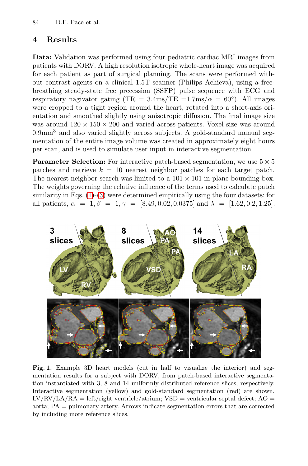84 D.F. Pace et al.

#### **4 Results**

**Data:** Validation was performed using four pediatric cardiac MRI images from patients with DORV. A high resolution isotropic whole-heart image was acquired for each patient as part of surgical planning. The scans were performed without contrast agents on a clinical 1.5T scanner (Philips Achieva), using a freebreathing steady-state free precession (SSFP) pulse sequence with ECG and respiratory nagivator gating (TR = 3.4ms/TE = 1.7ms/ $\alpha = 60^{\circ}$ ). All images were cropped to a tight region around the heart, rotated into a short-axis orientation and smoothed slightly using anisotropic diffusion. The final image size was around  $120 \times 150 \times 200$  and varied across patients. Voxel size was around [0.](#page-2-0)9[mm](#page-3-0)<sup>3</sup> and also varied slightly across subjects. A gold-standard manual segmentation of the entire image volume was created in approximately eight hours per scan, and is used to simulate user input in interactive segmentation.

**Parameter Selection:** For interactive patch-based segmentation, we use  $5 \times 5$ patches and retrieve  $k = 10$  nearest neighbor patches for each target patch. The nearest neighbor search was limited to a  $101 \times 101$  in-plane bounding box. The weights governing the relative influence of the terms used to calculate patch similarity in Eqs. (1)-(3) were determined empirically using the four datasets: for all patients,  $\alpha = 1, \beta = 1, \gamma = [8.49, 0.02, 0.0375]$  and  $\lambda = [1.62, 0.2, 1.25]$ .



Fig. 1. Example 3D heart models (cut in half to visualize the interior) and segmentation results for a subject with DORV, from patch-based interactive segmentation instantiated with 3, 8 and 14 uniformly distributed reference slices, respectively. Interactive segmentation (yellow) and gold-standard segmentation (red) are shown.  $\rm LV/RV/LA/RA = left/right$  ventricle/atrium; VSD = ventricular septal defect; AO = aorta; PA = pulmonary artery. Arrows indicate segmentation errors that are corrected by including more reference slices.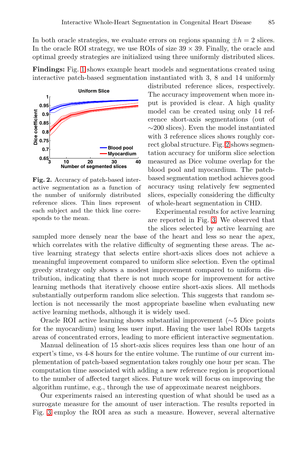<span id="page-5-0"></span>In both oracle strategies, we evaluate errors on regions spanning  $\pm h = 2$  slices. In the oracle ROI strategy, we use ROIs of size  $39 \times 39$ . Finally, the oracle and optimal greedy strategies are initialized using three uniformly distributed slices.

**Findings:** Fig. 1 shows example heart models and segmentations created using interactive patch-based segmentation instan[tia](#page-5-0)ted with 3, 8 and 14 uniformly



**Fig. 2.** Accuracy of patch-based interactive segmentation as a function of the number of uniformly distributed reference slices. Thin lines represent each subject and the thick line corresponds to the mean.

distributed reference slices, respectively. The accuracy improvement when more input is provided is clear. A high quality model can be created using only 14 reference short-axis segmentations (out of ∼200 slices). Even the model instantiated with 3 reference slices shows roughly correct global structure. Fig. 2 shows segmentat[io](#page-6-0)n accuracy for uniform slice selection measured as Dice volume overlap for the blood pool and myocardium. The patchbased segmentation method achieves good accuracy using relatively few segmented slices, especially considering the difficulty of whole-heart segmentation in CHD.

Experimental results for active learning are reported in Fig. 3. We observed that the slices selected by active learning are

sampled more densely near the base of the heart and less so near the apex, which correlates with the relative difficulty of segmenting these areas. The active learning strategy that selects entire short-axis slices does not achieve a meaningful improvement compared to uniform slice selection. Even the optimal greedy strategy only shows a modest improvement compared to uniform distribution, indicating that there is not much scope for improvement for active learning methods that iteratively choose entire short-axis slices. All methods substantially outperform random slice selection. This suggests that random selection is not necessarily the most appropriate baseline when evaluating new active learning methods, although it is widely used.

Oracle ROI active learning shows substantial improvement (∼5 Dice points for the myocardium) using less user input. Having the user label ROIs targets areas of concentrated errors, leading to more efficient interactive segmentation.

Manual delineation of 15 short-axis slices requires less than one hour of an expert's time, vs 4-8 hours for the entire volume. The runtime of our current implementation of patch-based segmentation takes roughly one hour per scan. The computation time associated with adding a new reference region is proportional to the number of affected target slices. Future work will focus on improving the algorithm runtime, e.g., through the use of approximate nearest neighbors.

Our experiments raised an interesting question of what should be used as a surrogate measure for the amount of user interaction. The results reported in Fig. 3 employ the ROI area as such a measure. However, several alternative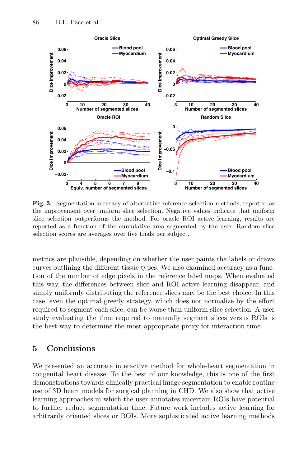<span id="page-6-0"></span>

**Fig. 3.** Segmentation accuracy of alternative reference selection methods, reported as the improvement over uniform slice selection. Negative values indicate that uniform slice selection outperforms the method. For oracle ROI active learning, results are reported as a function of the cumulative area segmented by the user. Random slice selection scores are averages over five trials per subject.

metrics are plausible, depending on whether the user paints the labels or draws curves outlining the different tissue types. We also examined accuracy as a function of the number of edge pixels in the reference label maps. When evaluated this way, the differences between slice and ROI active learning disappear, and simply uniformly distributing the reference slices may be the best choice. In this case, even the optimal greedy strategy, which does not normalize by the effort required to segment each slice, can be worse than uniform slice selection. A user study evaluating the time required to manually segment slices versus ROIs is the best way to determine the most appropriate proxy for interaction time.

### **5 Conclusions**

We presented an accurate interactive method for whole-heart segmentation in congenital heart disease. To the best of our knowledge, this is one of the first demonstrations towards clinically practical image segmentation to enable routine use of 3D heart models for surgical planning in CHD. We also show that active learning approaches in which the user annotates uncertain ROIs have potential to further reduce segmentation time. Future work includes active learning for arbitrarily oriented slices or ROIs. More sophisticated active learning methods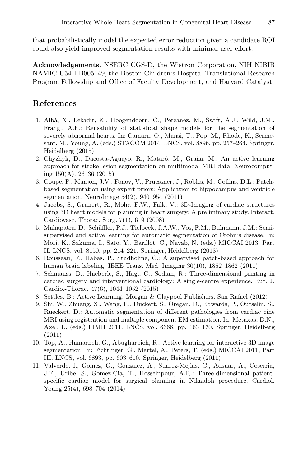<span id="page-7-1"></span>that probabilistically model the expected error reduction given a candidate ROI could also yield improved segmentation results with minimal user effort.

**Acknowledgements.** NSERC CGS-D, the Wistron Corporation, NIH NIBIB NAMIC U54-EB005149, the Boston Children's Hospital Translational Research Program Fellowship and Office of Faculty Development, and Harvard Catalyst.

### <span id="page-7-5"></span>**References**

- <span id="page-7-2"></span>1. Alb`a, X., Lekadir, K., Hoogendoorn, C., Pereanez, M., Swift, A.J., Wild, J.M., Frangi, A.F.: Reusability of statistical shape models for the segmentation of severely abnormal hearts. In: Camara, O., Mansi, T., Pop, M., Rhode, K., Sermesant, M., Young, A. (eds.) STACOM 2014. LNCS, vol. 8896, pp. 257–264. Springer, Heidelberg (2015)
- <span id="page-7-6"></span>2. Chyzhyk, D., Dacosta-Aguayo, R., Mataró, M., Graña, M.: An active learning approach for stroke lesion segmentation on multimodal MRI data. Neurocomputing  $150(A)$ , 26–36 (2015)
- 3. Coupé, P., Manjón, J.V., Fonov, V., Pruessner, J., Robles, M., Collins, D.L.: Patchbased segmentation using expert priors: Application to hippocampus and ventricle segmentation. NeuroImage 54(2), 940–954 (2011)
- <span id="page-7-3"></span><span id="page-7-0"></span>4. Jacobs, S., Grunert, R., Mohr, F.W., Falk, V.: 3D-Imaging of cardiac structures using 3D heart models for planning in heart surgery: A preliminary study. Interact. Cardiovasc. Thorac. Surg. 7(1), 6–9 (2008)
- <span id="page-7-4"></span>5. Mahapatra, D., Schüffler, P.J., Tielbeek, J.A.W., Vos, F.M., Buhmann, J.M.: Semisupervised and active learning for automatic segmentation of Crohn's disease. In: Mori, K., Sakuma, I., Sato, Y., Barillot, C., Navab, N. (eds.) MICCAI 2013, Part II. LNCS, vol. 8150, pp. 214–221. Springer, Heidelberg (2013)
- 6. Rousseau, F., Habas, P., Studholme, C.: A supervised patch-based approach for human brain labeling. IEEE Trans. Med. Imaging 30(10), 1852–1862 (2011)
- <span id="page-7-7"></span>7. Schmauss, D., Haeberle, S., Hagl, C., Sodian, R.: Three-dimensional printing in cardiac surgery and interventional cardiology: A single-centre experience. Eur. J. Cardio.-Thorac. 47(6), 1044–1052 (2015)
- 8. Settles, B.: Active Learning. Morgan & Claypool Publishers, San Rafael (2012)
- 9. Shi, W., Zhuang, X., Wang, H., Duckett, S., Oregan, D., Edwards, P., Ourselin, S., Rueckert, D.: Automatic segmentation of different pathologies from cardiac cine MRI using registration and multiple component EM estimation. In: Metaxas, D.N., Axel, L. (eds.) FIMH 2011. LNCS, vol. 6666, pp. 163–170. Springer, Heidelberg (2011)
- 10. Top, A., Hamarneh, G., Abugharbieh, R.: Active learning for interactive 3D image segmentation. In: Fichtinger, G., Martel, A., Peters, T. (eds.) MICCAI 2011, Part III. LNCS, vol. 6893, pp. 603–610. Springer, Heidelberg (2011)
- 11. Valverde, I., Gomez, G., Gonzalez, A., Suarez-Mejias, C., Adsuar, A., Coserria, J.F., Uribe, S., Gomez-Cia, T., Hosseinpour, A.R.: Three-dimensional patientspecific cardiac model for surgical planning in Nikaidoh procedure. Cardiol. Young 25(4), 698–704 (2014)